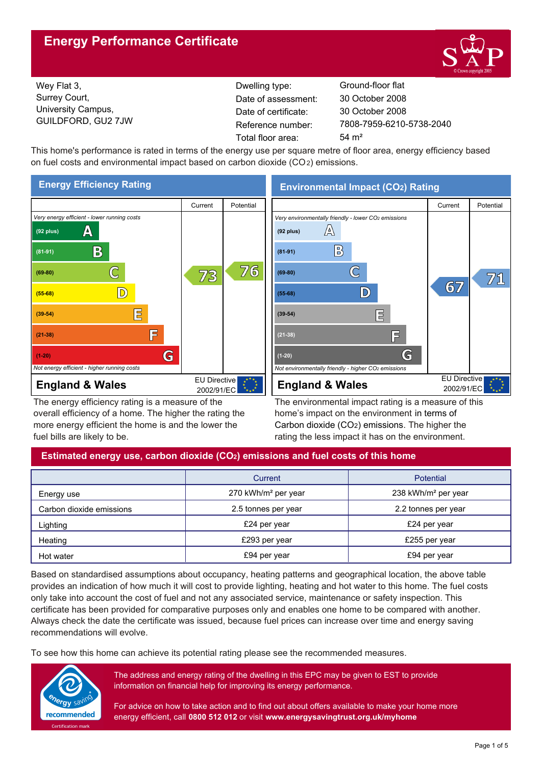# **Energy Performance Certificate**



Wey Flat 3, Surrey Court, University Campus, GUILDFORD, GU2 7JW

Dwelling type: Ground-floor flat Date of certificate: Total floor area: 54 m<sup>2</sup> Date of assessment:

7808-7959-6210-5738-2040 30 October 2008 30 October 2008

This home's performance is rated in terms of the energy use per square metre of floor area, energy efficiency based on fuel costs and environmental impact based on carbon dioxide (CO2) emissions.



The energy efficiency rating is a measure of the overall efficiency of a home. The higher the rating the more energy efficient the home is and the lower the fuel bills are likely to be.

**Environmental Impact (CO2) Rating**



The environmental impact rating is a measure of this home's impact on the environment in terms of Carbon dioxide (CO2) emissions. The higher the rating the less impact it has on the environment.

## **Estimated energy use, carbon dioxide (CO2) emissions and fuel costs of this home**

|                          | Current                         | <b>Potential</b>                |
|--------------------------|---------------------------------|---------------------------------|
| Energy use               | 270 kWh/m <sup>2</sup> per year | 238 kWh/m <sup>2</sup> per year |
| Carbon dioxide emissions | 2.5 tonnes per year             | 2.2 tonnes per year             |
| Lighting                 | £24 per year                    | £24 per year                    |
| Heating                  | £293 per year                   | £255 per year                   |
| Hot water                | £94 per year                    | £94 per year                    |

Based on standardised assumptions about occupancy, heating patterns and geographical location, the above table provides an indication of how much it will cost to provide lighting, heating and hot water to this home. The fuel costs only take into account the cost of fuel and not any associated service, maintenance or safety inspection. This certificate has been provided for comparative purposes only and enables one home to be compared with another. Always check the date the certificate was issued, because fuel prices can increase over time and energy saving recommendations will evolve.

To see how this home can achieve its potential rating please see the recommended measures.



The address and energy rating of the dwelling in this EPC may be given to EST to provide information on financial help for improving its energy performance.

For advice on how to take action and to find out about offers available to make your home more energy efficient, call **0800 512 012** or visit **www.energysavingtrust.org.uk/myhome**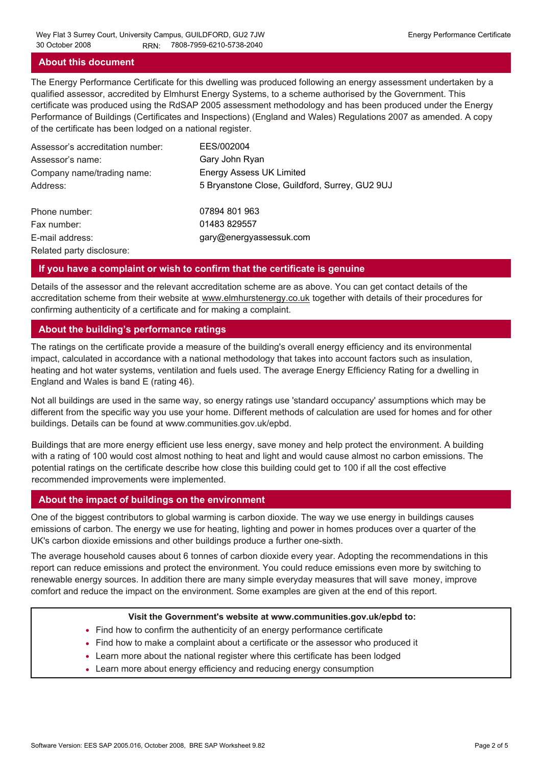#### **About this document**

The Energy Performance Certificate for this dwelling was produced following an energy assessment undertaken by a qualified assessor, accredited by Elmhurst Energy Systems, to a scheme authorised by the Government. This certificate was produced using the RdSAP 2005 assessment methodology and has been produced under the Energy Performance of Buildings (Certificates and Inspections) (England and Wales) Regulations 2007 as amended. A copy of the certificate has been lodged on a national register.

| Assessor's accreditation number: | EES/002004                                     |
|----------------------------------|------------------------------------------------|
| Assessor's name:                 | Gary John Ryan                                 |
| Company name/trading name:       | <b>Energy Assess UK Limited</b>                |
| Address:                         | 5 Bryanstone Close, Guildford, Surrey, GU2 9UJ |
| Phone number:                    | 07894 801 963                                  |
| Fax number:                      | 01483 829557                                   |
| E-mail address:                  | gary@energyassessuk.com                        |
| Related party disclosure:        |                                                |

#### **If you have a complaint or wish to confirm that the certificate is genuine**

Details of the assessor and the relevant accreditation scheme are as above. You can get contact details of the accreditation scheme from their website at www.elmhurstenergy.co.uk together with details of their procedures for confirming authenticity of a certificate and for making a complaint.

## **About the building's performance ratings**

The ratings on the certificate provide a measure of the building's overall energy efficiency and its environmental impact, calculated in accordance with a national methodology that takes into account factors such as insulation, heating and hot water systems, ventilation and fuels used. The average Energy Efficiency Rating for a dwelling in England and Wales is band E (rating 46).

Not all buildings are used in the same way, so energy ratings use 'standard occupancy' assumptions which may be different from the specific way you use your home. Different methods of calculation are used for homes and for other buildings. Details can be found at www.communities.gov.uk/epbd.

Buildings that are more energy efficient use less energy, save money and help protect the environment. A building with a rating of 100 would cost almost nothing to heat and light and would cause almost no carbon emissions. The potential ratings on the certificate describe how close this building could get to 100 if all the cost effective recommended improvements were implemented.

## **About the impact of buildings on the environment**

One of the biggest contributors to global warming is carbon dioxide. The way we use energy in buildings causes emissions of carbon. The energy we use for heating, lighting and power in homes produces over a quarter of the UK's carbon dioxide emissions and other buildings produce a further one-sixth.

The average household causes about 6 tonnes of carbon dioxide every year. Adopting the recommendations in this report can reduce emissions and protect the environment. You could reduce emissions even more by switching to renewable energy sources. In addition there are many simple everyday measures that will save money, improve comfort and reduce the impact on the environment. Some examples are given at the end of this report.

#### **Visit the Government's website at www.communities.gov.uk/epbd to:**

- Find how to confirm the authenticity of an energy performance certificate
- Find how to make a complaint about a certificate or the assessor who produced it •
- Learn more about the national register where this certificate has been lodged •
- Learn more about energy efficiency and reducing energy consumption •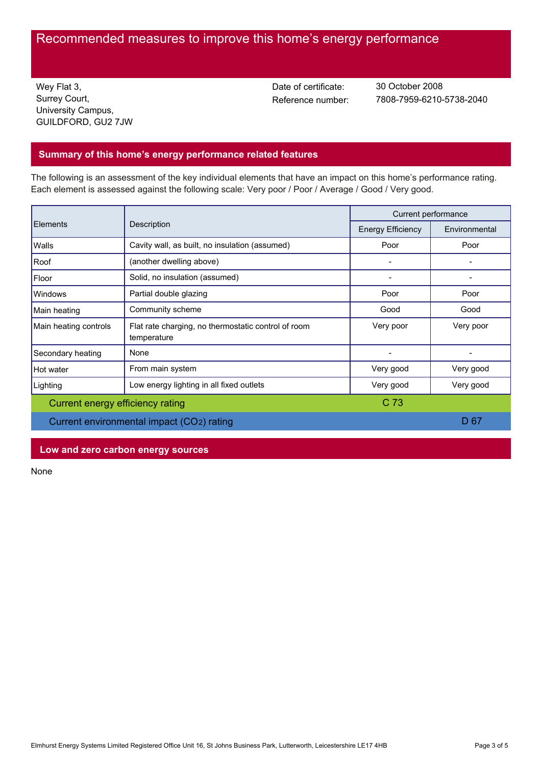## Recommended measures to improve this home's energy performance

Wey Flat 3, Surrey Court, University Campus, GUILDFORD, GU2 7JW Date of certificate:

Reference number: 7808-7959-6210-5738-2040 30 October 2008

## **Summary of this home's energy performance related features**

The following is an assessment of the key individual elements that have an impact on this home's performance rating. Each element is assessed against the following scale: Very poor / Poor / Average / Good / Very good.

| Description<br>Elements                   |                                                                    | Current performance |           |
|-------------------------------------------|--------------------------------------------------------------------|---------------------|-----------|
|                                           | <b>Energy Efficiency</b>                                           | Environmental       |           |
| Walls                                     | Cavity wall, as built, no insulation (assumed)                     | Poor                | Poor      |
| Roof                                      | (another dwelling above)                                           |                     |           |
| Floor                                     | Solid, no insulation (assumed)                                     |                     |           |
| <b>Windows</b>                            | Partial double glazing                                             | Poor                | Poor      |
| Main heating                              | Community scheme                                                   | Good                | Good      |
| Main heating controls                     | Flat rate charging, no thermostatic control of room<br>temperature | Very poor           | Very poor |
| Secondary heating                         | None                                                               |                     |           |
| Hot water                                 | From main system                                                   | Very good           | Very good |
| Lighting                                  | Low energy lighting in all fixed outlets                           | Very good           | Very good |
| Current energy efficiency rating          |                                                                    | C <sub>73</sub>     |           |
| Current environmental impact (CO2) rating |                                                                    |                     | D 67      |

## **Low and zero carbon energy sources**

None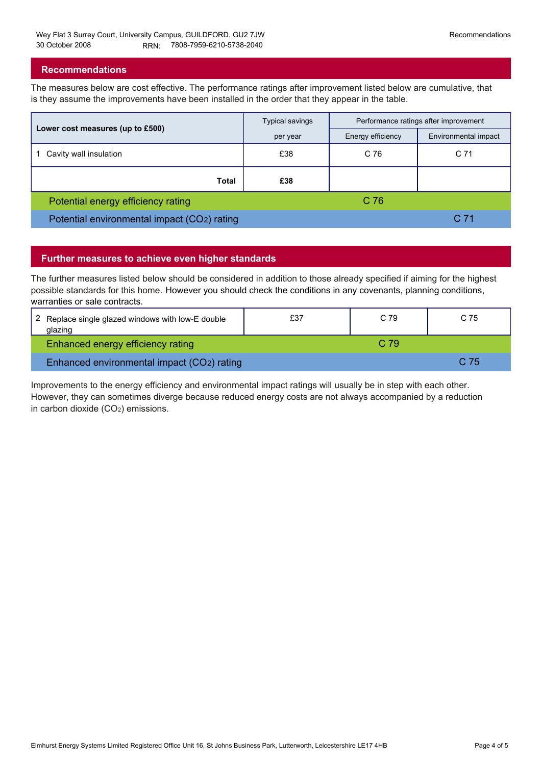#### **Recommendations**

The measures below are cost effective. The performance ratings after improvement listed below are cumulative, that is they assume the improvements have been installed in the order that they appear in the table.

|                                             | <b>Typical savings</b> | Performance ratings after improvement |                      |
|---------------------------------------------|------------------------|---------------------------------------|----------------------|
| Lower cost measures (up to £500)            | per year               | Energy efficiency                     | Environmental impact |
| Cavity wall insulation                      | £38                    | C 76                                  | C <sub>71</sub>      |
| Total                                       | £38                    |                                       |                      |
| Potential energy efficiency rating          |                        | C 76                                  |                      |
| Potential environmental impact (CO2) rating |                        |                                       | C <sub>71</sub>      |

## **Further measures to achieve even higher standards**

The further measures listed below should be considered in addition to those already specified if aiming for the highest possible standards for this home. However you should check the conditions in any covenants, planning conditions, warranties or sale contracts.

| 2 Replace single glazed windows with low-E double<br>qlazinq | £37 | C 79 | C.75 |
|--------------------------------------------------------------|-----|------|------|
| Enhanced energy efficiency rating                            |     | C.79 |      |
| Enhanced environmental impact (CO2) rating                   |     |      | C 75 |

Improvements to the energy efficiency and environmental impact ratings will usually be in step with each other. However, they can sometimes diverge because reduced energy costs are not always accompanied by a reduction in carbon dioxide (CO2) emissions.